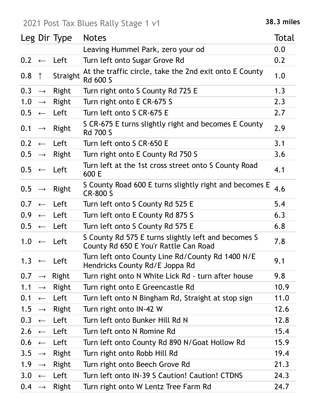## 2021 Post Tax Blues Rally Stage 1 v1 **38.3 miles**

|                   |                   | Leg Dir Type          | <b>Notes</b>                                                                                 | Total |
|-------------------|-------------------|-----------------------|----------------------------------------------------------------------------------------------|-------|
|                   |                   |                       | Leaving Hummel Park, zero your od                                                            | 0.0   |
|                   |                   | $0.2 \leftarrow$ Left | Turn left onto Sugar Grove Rd                                                                | 0.2   |
| 0.8               | $\uparrow$        | Straight              | At the traffic circle, take the 2nd exit onto E County<br><b>Rd 600 S</b>                    | 1.0   |
| 0.3               | $\longrightarrow$ | Right                 | Turn right onto S County Rd 725 E                                                            | 1.3   |
| 1.0               | $\longrightarrow$ | Right                 | Turn right onto E CR-675 S                                                                   | 2.3   |
|                   |                   | $0.5 \leftarrow$ Left | Turn left onto S CR-675 E                                                                    | 2.7   |
| 0.1               | $\longrightarrow$ | Right                 | S CR-675 E turns slightly right and becomes E County<br><b>Rd 700 S</b>                      | 2.9   |
| 0.2               |                   | $\leftarrow$ Left     | Turn left onto S CR-650 E                                                                    | 3.1   |
| $0.5 \rightarrow$ |                   | Right                 | Turn right onto E County Rd 750 S                                                            | 3.6   |
|                   |                   | $0.5 \leftarrow$ Left | Turn left at the 1st cross street onto S County Road<br>600 E                                | 4.1   |
| 0.5               | $\longrightarrow$ | Right                 | S County Road 600 E turns slightly right and becomes E<br><b>CR-800 S</b>                    | 4.6   |
| 0.7               |                   | $\leftarrow$ Left     | Turn left onto S County Rd 525 E                                                             | 5.4   |
| 0.9 <sub>0</sub>  |                   | $\leftarrow$ Left     | Turn left onto E County Rd 875 S                                                             | 6.3   |
|                   |                   | $0.5 \leftarrow$ Left | Turn left onto S County Rd 575 E                                                             | 6.8   |
|                   |                   | $1.0 \leftarrow$ Left | S County Rd 575 E turns slightly left and becomes S<br>County Rd 650 E You'r Rattle Can Road | 7.8   |
|                   |                   | $1.3 \leftarrow$ Left | Turn left onto County Line Rd/County Rd 1400 N/E<br>Hendricks County Rd/E Joppa Rd           | 9.1   |
| 0.7               |                   | $\rightarrow$ Right   | Turn right onto N White Lick Rd - turn after house                                           | 9.8   |
| 1.1               | $\longrightarrow$ | Right                 | Turn right onto E Greencastle Rd                                                             | 10.9  |
| 0.1               | $\leftarrow$      | Left                  | Turn left onto N Bingham Rd, Straight at stop sign                                           | 11.0  |
| 1.5               | $\rightarrow$     | Right                 | Turn right onto IN-42 W                                                                      | 12.6  |
| 0.3               | $\leftarrow$      | Left                  | Turn left onto Bunker Hill Rd N                                                              | 12.8  |
| $2.6 \leftarrow$  |                   | Left                  | Turn left onto N Romine Rd                                                                   | 15.4  |
| 0.6               | $\leftarrow$      | Left                  | Turn left onto County Rd 890 N/Goat Hollow Rd                                                | 15.9  |
| 3.5               | $\rightarrow$     | Right                 | Turn right onto Robb Hill Rd                                                                 | 19.4  |
| 1.9               | $\longrightarrow$ | Right                 | Turn right onto Beech Grove Rd                                                               | 21.3  |
|                   |                   | $3.0 \leftarrow$ Left | Turn left onto IN-39 S Caution! Caution! CTDNS                                               | 24.3  |
| $0.4 \rightarrow$ |                   | Right                 | Turn right onto W Lentz Tree Farm Rd                                                         | 24.7  |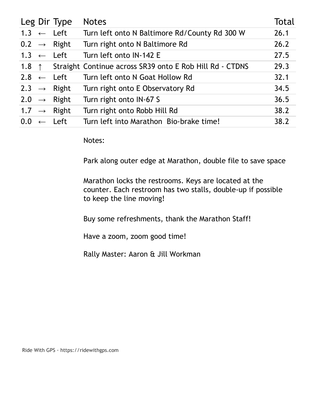|         | Leg Dir Type            | <b>Notes</b>                                                     | Total |
|---------|-------------------------|------------------------------------------------------------------|-------|
|         | $1.3 \leftarrow$ Left   | Turn left onto N Baltimore Rd/County Rd 300 W                    | 26.1  |
|         | $0.2 \rightarrow$ Right | Turn right onto N Baltimore Rd                                   | 26.2  |
|         | $1.3 \leftarrow$ Left   | Turn left onto IN-142 E                                          | 27.5  |
|         |                         | 1.8 1.8 Straight Continue across SR39 onto E Rob Hill Rd - CTDNS | 29.3  |
|         | $2.8 \leftarrow$ Left   | Turn left onto N Goat Hollow Rd                                  | 32.1  |
|         | 2.3 $\rightarrow$ Right | Turn right onto E Observatory Rd                                 | 34.5  |
|         | $2.0 \rightarrow$ Right | Turn right onto IN-67 S                                          | 36.5  |
|         | 1.7 $\rightarrow$ Right | Turn right onto Robb Hill Rd                                     | 38.2  |
| $0.0\,$ | $\leftarrow$ Left       | Turn left into Marathon Bio-brake time!                          | 38.2  |

Notes:

Park along outer edge at Marathon, double file to save space

Marathon locks the restrooms. Keys are located at the counter. Each restroom has two stalls, double-up if possible to keep the line moving!

Buy some refreshments, thank the Marathon Staff!

Have a zoom, zoom good time!

Rally Master: Aaron & Jill Workman

Ride With GPS · https://ridewithgps.com